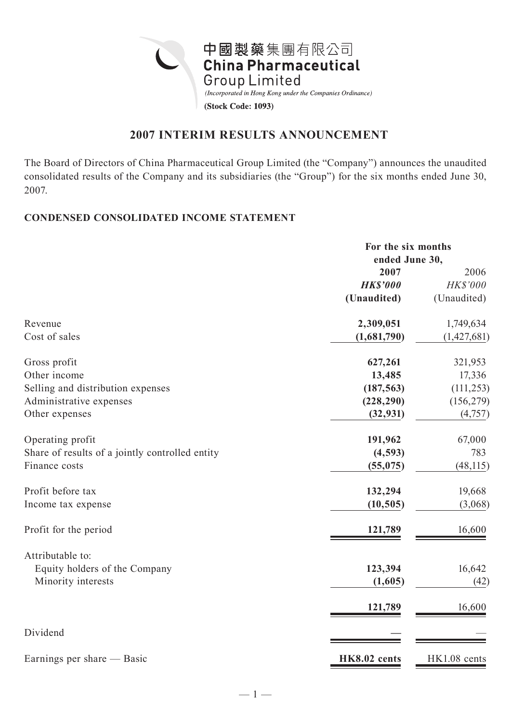

## **2007 INTERIM RESULTS ANNOUNCEMENT**

The Board of Directors of China Pharmaceutical Group Limited (the "Company") announces the unaudited consolidated results of the Company and its subsidiaries (the "Group") for the six months ended June 30, 2007.

### **CONDENSED CONSOLIDATED INCOME STATEMENT**

|                                                 | For the six months |               |  |
|-------------------------------------------------|--------------------|---------------|--|
|                                                 | ended June 30,     |               |  |
|                                                 | 2007               | 2006          |  |
|                                                 | <b>HK\$'000</b>    | HK\$'000      |  |
|                                                 | (Unaudited)        | (Unaudited)   |  |
| Revenue                                         | 2,309,051          | 1,749,634     |  |
| Cost of sales                                   | (1,681,790)        | (1, 427, 681) |  |
| Gross profit                                    | 627,261            | 321,953       |  |
| Other income                                    | 13,485             | 17,336        |  |
| Selling and distribution expenses               | (187, 563)         | (111, 253)    |  |
| Administrative expenses                         | (228, 290)         | (156, 279)    |  |
| Other expenses                                  | (32, 931)          | (4,757)       |  |
| Operating profit                                | 191,962            | 67,000        |  |
| Share of results of a jointly controlled entity | (4, 593)           | 783           |  |
| Finance costs                                   | (55, 075)          | (48, 115)     |  |
| Profit before tax                               | 132,294            | 19,668        |  |
| Income tax expense                              | (10, 505)          | (3,068)       |  |
| Profit for the period                           | 121,789            | 16,600        |  |
| Attributable to:                                |                    |               |  |
| Equity holders of the Company                   | 123,394            | 16,642        |  |
| Minority interests                              | (1,605)            | (42)          |  |
|                                                 | 121,789            | 16,600        |  |
| Dividend                                        |                    |               |  |
| Earnings per share — Basic                      | HK8.02 cents       | HK1.08 cents  |  |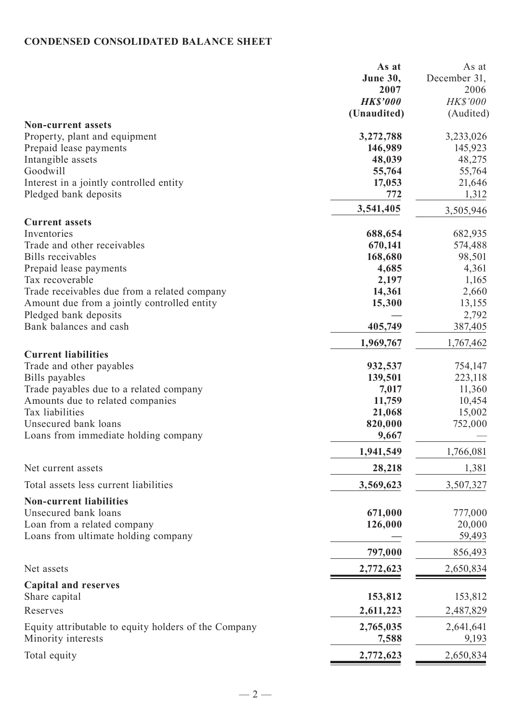# **CONDENSED CONSOLIDATED BALANCE SHEET**

|                                                                    | As at<br>June 30,<br>2007<br><b>HK\$'000</b><br>(Unaudited) | As at<br>December 31,<br>2006<br>HK\$'000<br>(Audited) |
|--------------------------------------------------------------------|-------------------------------------------------------------|--------------------------------------------------------|
| <b>Non-current assets</b>                                          |                                                             |                                                        |
| Property, plant and equipment                                      | 3,272,788                                                   | 3,233,026                                              |
| Prepaid lease payments                                             | 146,989                                                     | 145,923                                                |
| Intangible assets<br>Goodwill                                      | 48,039                                                      | 48,275                                                 |
|                                                                    | 55,764                                                      | 55,764                                                 |
| Interest in a jointly controlled entity<br>Pledged bank deposits   | 17,053<br>772                                               | 21,646<br>1,312                                        |
|                                                                    | 3,541,405                                                   | 3,505,946                                              |
| <b>Current assets</b>                                              |                                                             |                                                        |
| Inventories                                                        | 688,654                                                     | 682,935                                                |
| Trade and other receivables                                        | 670,141                                                     | 574,488                                                |
| Bills receivables                                                  | 168,680                                                     | 98,501                                                 |
| Prepaid lease payments                                             | 4,685                                                       | 4,361                                                  |
| Tax recoverable                                                    | 2,197                                                       | 1,165                                                  |
| Trade receivables due from a related company                       | 14,361                                                      | 2,660                                                  |
| Amount due from a jointly controlled entity                        | 15,300                                                      | 13,155                                                 |
| Pledged bank deposits                                              |                                                             | 2,792                                                  |
| Bank balances and cash                                             | 405,749                                                     | 387,405                                                |
|                                                                    | 1,969,767                                                   | 1,767,462                                              |
| <b>Current liabilities</b>                                         |                                                             |                                                        |
| Trade and other payables<br>Bills payables                         | 932,537<br>139,501                                          | 754,147<br>223,118                                     |
| Trade payables due to a related company                            | 7,017                                                       | 11,360                                                 |
| Amounts due to related companies                                   | 11,759                                                      | 10,454                                                 |
| Tax liabilities                                                    | 21,068                                                      | 15,002                                                 |
| Unsecured bank loans                                               | 820,000                                                     | 752,000                                                |
| Loans from immediate holding company                               | 9,667                                                       |                                                        |
|                                                                    | 1,941,549                                                   | 1,766,081                                              |
| Net current assets                                                 | 28,218                                                      | 1,381                                                  |
| Total assets less current liabilities                              | 3,569,623                                                   | 3,507,327                                              |
| <b>Non-current liabilities</b>                                     |                                                             |                                                        |
| Unsecured bank loans                                               | 671,000                                                     | 777,000                                                |
| Loan from a related company<br>Loans from ultimate holding company | 126,000                                                     | 20,000<br>59,493                                       |
|                                                                    | 797,000                                                     | 856,493                                                |
| Net assets                                                         | 2,772,623                                                   | 2,650,834                                              |
| <b>Capital and reserves</b>                                        |                                                             |                                                        |
| Share capital                                                      | 153,812                                                     | 153,812                                                |
| Reserves                                                           | 2,611,223                                                   | 2,487,829                                              |
| Equity attributable to equity holders of the Company               | 2,765,035                                                   | 2,641,641                                              |
| Minority interests                                                 | 7,588                                                       | 9,193                                                  |
| Total equity                                                       | 2,772,623                                                   | 2,650,834                                              |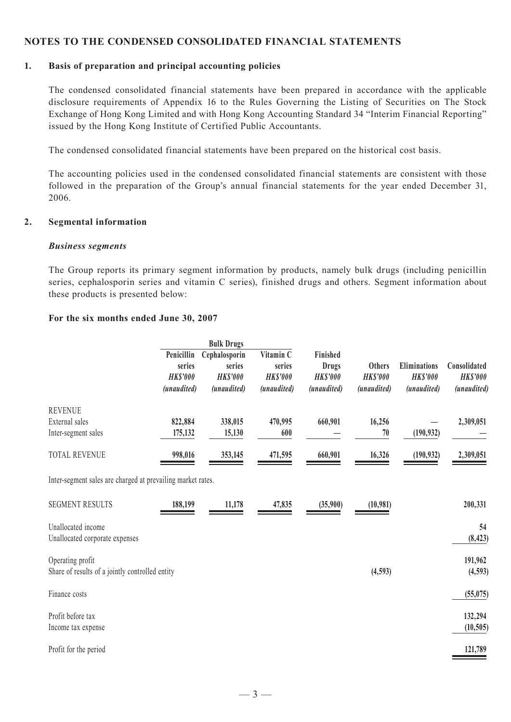#### **NOTES TO THE CONDENSED CONSOLIDATED FINANCIAL STATEMENTS**

#### **1. Basis of preparation and principal accounting policies**

The condensed consolidated financial statements have been prepared in accordance with the applicable disclosure requirements of Appendix 16 to the Rules Governing the Listing of Securities on The Stock Exchange of Hong Kong Limited and with Hong Kong Accounting Standard 34 "Interim Financial Reporting" issued by the Hong Kong Institute of Certified Public Accountants.

The condensed consolidated financial statements have been prepared on the historical cost basis.

The accounting policies used in the condensed consolidated financial statements are consistent with those followed in the preparation of the Group's annual financial statements for the year ended December 31, 2006.

#### **2. Segmental information**

#### *Business segments*

The Group reports its primary segment information by products, namely bulk drugs (including penicillin series, cephalosporin series and vitamin C series), finished drugs and others. Segment information about these products is presented below:

#### **For the six months ended June 30, 2007**

|                                             | Penicillin<br>series<br><b>HKS'000</b><br>(unaudited) | <b>Bulk Drugs</b><br>Cephalosporin<br>series<br><b>HKS'000</b><br>(unaudited) | Vitamin C<br>series<br><b>HKS'000</b><br>(unaudited) | Finished<br>Drugs<br><b>HKS'000</b><br>(unaudited) | <b>Others</b><br><b>HKS'000</b><br>(unaudited) | <b>Eliminations</b><br><b>HKS'000</b><br>(unaudited) | Consolidated<br><b>HKS'000</b><br>(unaudited) |
|---------------------------------------------|-------------------------------------------------------|-------------------------------------------------------------------------------|------------------------------------------------------|----------------------------------------------------|------------------------------------------------|------------------------------------------------------|-----------------------------------------------|
| <b>REVENUE</b><br>External sales            | 822,884                                               | 338,015                                                                       | 470,995                                              | 660,901                                            | 16,256                                         |                                                      | 2,309,051                                     |
| Inter-segment sales<br><b>TOTAL REVENUE</b> | 175,132<br>998,016                                    | 15,130<br>353,145                                                             | 600<br>471,595                                       | 660,901                                            | 70<br>16,326                                   | (190, 932)<br>(190, 932)                             | 2,309,051                                     |

Inter-segment sales are charged at prevailing market rates.

| <b>SEGMENT RESULTS</b>                                              | 188,199 | 11,178 | 47,835 | (35,900) | (10, 981) | 200,331              |
|---------------------------------------------------------------------|---------|--------|--------|----------|-----------|----------------------|
| Unallocated income<br>Unallocated corporate expenses                |         |        |        |          |           | 54<br>(8, 423)       |
| Operating profit<br>Share of results of a jointly controlled entity |         |        |        |          |           | 191,962              |
| Finance costs                                                       |         |        |        |          | (4,593)   | (4,593)<br>(55, 075) |
| Profit before tax                                                   |         |        |        |          |           | 132,294              |
| Income tax expense<br>Profit for the period                         |         |        |        |          |           | (10, 505)<br>121,789 |
|                                                                     |         |        |        |          |           |                      |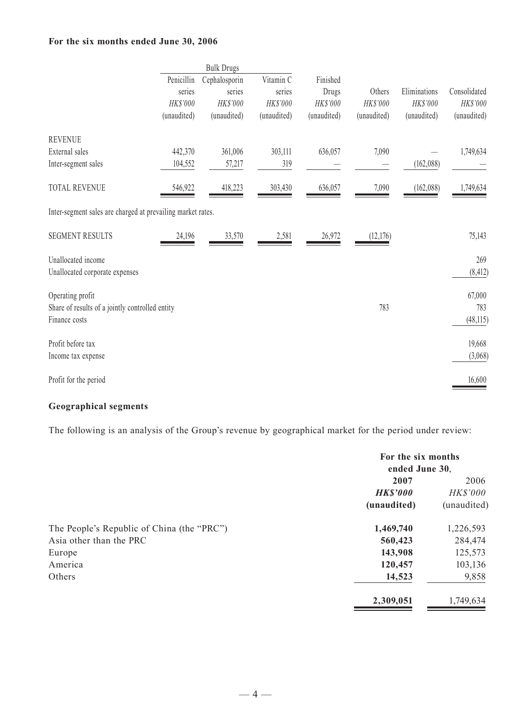### **For the six months ended June 30, 2006**

|                                                             | <b>Bulk Drugs</b> |               |             |             |             |              |              |
|-------------------------------------------------------------|-------------------|---------------|-------------|-------------|-------------|--------------|--------------|
|                                                             | Penicillin        | Cephalosporin | Vitamin C   | Finished    |             |              |              |
|                                                             | series            | series        | series      | Drugs       | Others      | Eliminations | Consolidated |
|                                                             | HK\$'000          | HK\$'000      | HK\$'000    | HK\$'000    | HK\$'000    | HK\$'000     | HK\$'000     |
|                                                             | (unaudited)       | (unaudited)   | (unaudited) | (unaudited) | (unaudited) | (unaudited)  | (unaudited)  |
| <b>REVENUE</b>                                              |                   |               |             |             |             |              |              |
| External sales                                              | 442,370           | 361,006       | 303,111     | 636,057     | 7,090       |              | 1,749,634    |
| Inter-segment sales                                         | 104,552           | 57,217        | 319         |             |             | (162,088)    |              |
| <b>TOTAL REVENUE</b>                                        | 546,922           | 418,223       | 303,430     | 636,057     | 7,090       | (162, 088)   | 1,749,634    |
| Inter-segment sales are charged at prevailing market rates. |                   |               |             |             |             |              |              |
| <b>SEGMENT RESULTS</b>                                      | 24,196            | 33,570        | 2,581       | 26,972      | (12,176)    |              | 75,143       |
| Unallocated income                                          |                   |               |             |             |             |              | 269          |
| Unallocated corporate expenses                              |                   |               |             |             |             |              | (8, 412)     |
| Operating profit                                            |                   |               |             |             |             |              | 67,000       |
| Share of results of a jointly controlled entity             |                   |               |             |             | 783         |              | 783          |
| Finance costs                                               |                   |               |             |             |             |              | (48, 115)    |
| Profit before tax                                           |                   |               |             |             |             |              | 19,668       |
| Income tax expense                                          |                   |               |             |             |             |              | (3,068)      |
| Profit for the period                                       |                   |               |             |             |             |              | 16,600       |

## **Geographical segments**

The following is an analysis of the Group's revenue by geographical market for the period under review:

|                                            | For the six months<br>ended June 30. |             |
|--------------------------------------------|--------------------------------------|-------------|
|                                            | 2007                                 | 2006        |
|                                            | <b>HK\$'000</b>                      | HK\$'000    |
|                                            | (unaudited)                          | (unaudited) |
| The People's Republic of China (the "PRC") | 1,469,740                            | 1,226,593   |
| Asia other than the PRC                    | 560,423                              | 284,474     |
| Europe                                     | 143,908                              | 125,573     |
| America                                    | 120,457                              | 103,136     |
| Others                                     | 14,523                               | 9,858       |
|                                            | 2,309,051                            | 1,749,634   |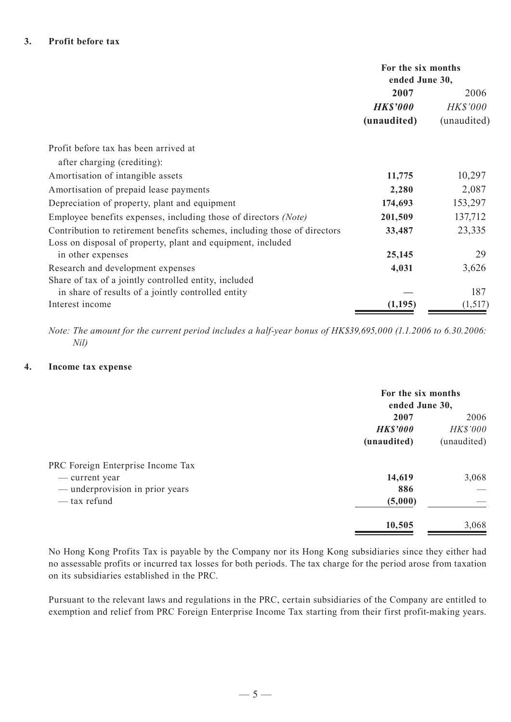|                                                                           |                 | For the six months<br>ended June 30, |  |
|---------------------------------------------------------------------------|-----------------|--------------------------------------|--|
|                                                                           | 2007            | 2006                                 |  |
|                                                                           | <b>HK\$'000</b> | <b>HK\$'000</b>                      |  |
|                                                                           | (unaudited)     | (unaudited)                          |  |
| Profit before tax has been arrived at                                     |                 |                                      |  |
| after charging (crediting):                                               |                 |                                      |  |
| Amortisation of intangible assets                                         | 11,775          | 10,297                               |  |
| Amortisation of prepaid lease payments                                    | 2,280           | 2,087                                |  |
| Depreciation of property, plant and equipment                             | 174,693         | 153,297                              |  |
| Employee benefits expenses, including those of directors (Note)           | 201,509         | 137,712                              |  |
| Contribution to retirement benefits schemes, including those of directors | 33,487          | 23,335                               |  |
| Loss on disposal of property, plant and equipment, included               |                 |                                      |  |
| in other expenses                                                         | 25,145          | 29                                   |  |
| Research and development expenses                                         | 4,031           | 3,626                                |  |
| Share of tax of a jointly controlled entity, included                     |                 |                                      |  |
| in share of results of a jointly controlled entity                        |                 | 187                                  |  |
| Interest income                                                           | (1,195)         | (1,517)                              |  |

*Note: The amount for the current period includes a half-year bonus of HK\$39,695,000 (1.1.2006 to 6.30.2006: Nil)*

#### **4. Income tax expense**

|                                                     | For the six months<br>ended June 30, |                         |
|-----------------------------------------------------|--------------------------------------|-------------------------|
|                                                     | 2007                                 | 2006                    |
|                                                     | <b>HK\$'000</b><br>(unaudited)       | HK\$'000<br>(unaudited) |
| PRC Foreign Enterprise Income Tax<br>— current year | 14,619                               | 3,068                   |
| — underprovision in prior years                     | 886                                  |                         |
| — tax refund                                        | (5,000)                              |                         |
|                                                     | 10,505                               | 3,068                   |

No Hong Kong Profits Tax is payable by the Company nor its Hong Kong subsidiaries since they either had no assessable profits or incurred tax losses for both periods. The tax charge for the period arose from taxation on its subsidiaries established in the PRC.

Pursuant to the relevant laws and regulations in the PRC, certain subsidiaries of the Company are entitled to exemption and relief from PRC Foreign Enterprise Income Tax starting from their first profit-making years.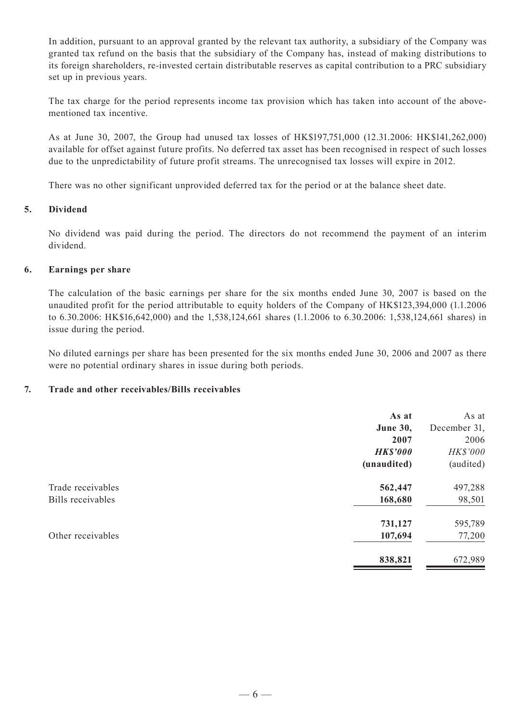In addition, pursuant to an approval granted by the relevant tax authority, a subsidiary of the Company was granted tax refund on the basis that the subsidiary of the Company has, instead of making distributions to its foreign shareholders, re-invested certain distributable reserves as capital contribution to a PRC subsidiary set up in previous years.

The tax charge for the period represents income tax provision which has taken into account of the abovementioned tax incentive.

As at June 30, 2007, the Group had unused tax losses of HK\$197,751,000 (12.31.2006: HK\$141,262,000) available for offset against future profits. No deferred tax asset has been recognised in respect of such losses due to the unpredictability of future profit streams. The unrecognised tax losses will expire in 2012.

There was no other significant unprovided deferred tax for the period or at the balance sheet date.

#### **5. Dividend**

No dividend was paid during the period. The directors do not recommend the payment of an interim dividend.

#### **6. Earnings per share**

The calculation of the basic earnings per share for the six months ended June 30, 2007 is based on the unaudited profit for the period attributable to equity holders of the Company of HK\$123,394,000 (1.1.2006 to 6.30.2006: HK\$16,642,000) and the 1,538,124,661 shares (1.1.2006 to 6.30.2006: 1,538,124,661 shares) in issue during the period.

No diluted earnings per share has been presented for the six months ended June 30, 2006 and 2007 as there were no potential ordinary shares in issue during both periods.

#### **7. Trade and other receivables/Bills receivables**

|                   | As at           | As at        |
|-------------------|-----------------|--------------|
|                   | <b>June 30,</b> | December 31, |
|                   | 2007            | 2006         |
|                   | <b>HK\$'000</b> | HK\$'000     |
|                   | (unaudited)     | (audited)    |
| Trade receivables | 562,447         | 497,288      |
| Bills receivables | 168,680         | 98,501       |
|                   | 731,127         | 595,789      |
| Other receivables | 107,694         | 77,200       |
|                   | 838,821         | 672,989      |
|                   |                 |              |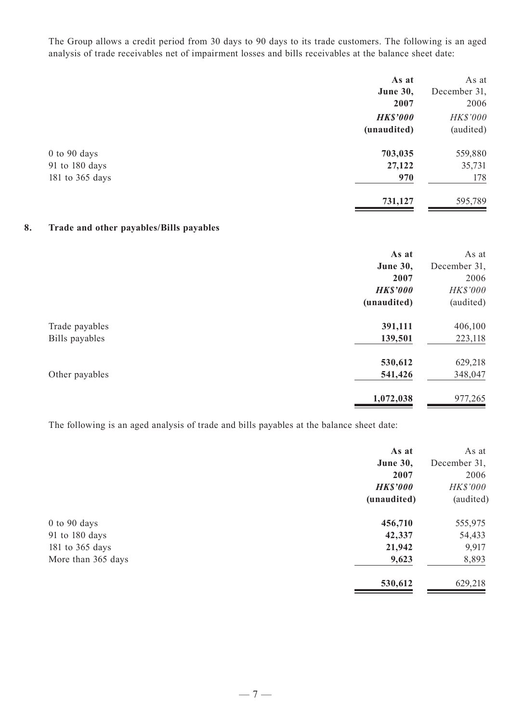The Group allows a credit period from 30 days to 90 days to its trade customers. The following is an aged analysis of trade receivables net of impairment losses and bills receivables at the balance sheet date:

|                  | As at           | As at        |
|------------------|-----------------|--------------|
|                  | <b>June 30,</b> | December 31, |
|                  | 2007            | 2006         |
|                  | <b>HK\$'000</b> | HK\$'000     |
|                  | (unaudited)     | (audited)    |
| $0$ to $90$ days | 703,035         | 559,880      |
| 91 to 180 days   | 27,122          | 35,731       |
| 181 to 365 days  | 970             | 178          |
|                  | 731,127         | 595,789      |

## **8. Trade and other payables/Bills payables**

|                                  | As at<br><b>June 30,</b><br>2007<br><b>HK\$'000</b> | As at<br>December 31,<br>2006<br>HK\$'000 |
|----------------------------------|-----------------------------------------------------|-------------------------------------------|
| Trade payables<br>Bills payables | (unaudited)<br>391,111<br>139,501                   | (audited)<br>406,100<br>223,118           |
| Other payables                   | 530,612<br>541,426                                  | 629,218<br>348,047                        |
|                                  | 1,072,038                                           | 977,265                                   |

The following is an aged analysis of trade and bills payables at the balance sheet date:

| As at           | As at        |
|-----------------|--------------|
| June 30,        | December 31, |
| 2007            | 2006         |
| <b>HK\$'000</b> | HK\$'000     |
| (unaudited)     | (audited)    |
| 456,710         | 555,975      |
| 42,337          | 54,433       |
| 21,942          | 9,917        |
| 9,623           | 8,893        |
| 530,612         | 629,218      |
|                 |              |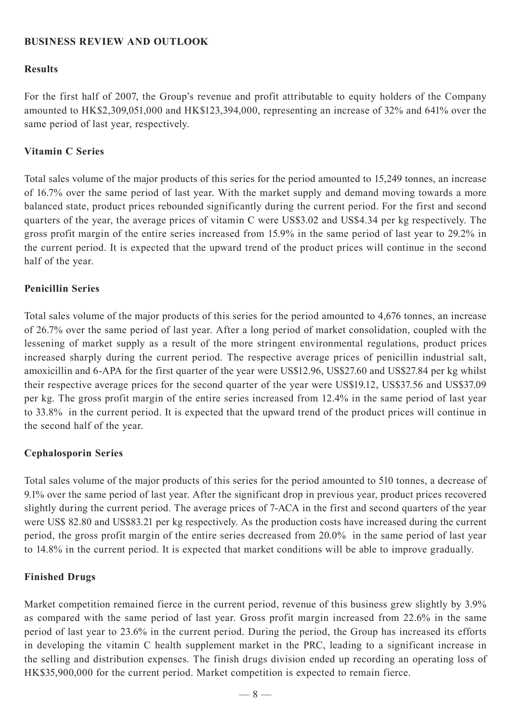### **BUSINESS REVIEW AND OUTLOOK**

### **Results**

For the first half of 2007, the Group's revenue and profit attributable to equity holders of the Company amounted to HK\$2,309,051,000 and HK\$123,394,000, representing an increase of 32% and 641% over the same period of last year, respectively.

### **Vitamin C Series**

Total sales volume of the major products of this series for the period amounted to 15,249 tonnes, an increase of 16.7% over the same period of last year. With the market supply and demand moving towards a more balanced state, product prices rebounded significantly during the current period. For the first and second quarters of the year, the average prices of vitamin C were US\$3.02 and US\$4.34 per kg respectively. The gross profit margin of the entire series increased from 15.9% in the same period of last year to 29.2% in the current period. It is expected that the upward trend of the product prices will continue in the second half of the year.

### **Penicillin Series**

Total sales volume of the major products of this series for the period amounted to 4,676 tonnes, an increase of 26.7% over the same period of last year. After a long period of market consolidation, coupled with the lessening of market supply as a result of the more stringent environmental regulations, product prices increased sharply during the current period. The respective average prices of penicillin industrial salt, amoxicillin and 6-APA for the first quarter of the year were US\$12.96, US\$27.60 and US\$27.84 per kg whilst their respective average prices for the second quarter of the year were US\$19.12, US\$37.56 and US\$37.09 per kg. The gross profit margin of the entire series increased from 12.4% in the same period of last year to 33.8% in the current period. It is expected that the upward trend of the product prices will continue in the second half of the year.

### **Cephalosporin Series**

Total sales volume of the major products of this series for the period amounted to 510 tonnes, a decrease of 9.1% over the same period of last year. After the significant drop in previous year, product prices recovered slightly during the current period. The average prices of 7-ACA in the first and second quarters of the year were US\$ 82.80 and US\$83.21 per kg respectively. As the production costs have increased during the current period, the gross profit margin of the entire series decreased from 20.0% in the same period of last year to 14.8% in the current period. It is expected that market conditions will be able to improve gradually.

### **Finished Drugs**

Market competition remained fierce in the current period, revenue of this business grew slightly by 3.9% as compared with the same period of last year. Gross profit margin increased from 22.6% in the same period of last year to 23.6% in the current period. During the period, the Group has increased its efforts in developing the vitamin C health supplement market in the PRC, leading to a significant increase in the selling and distribution expenses. The finish drugs division ended up recording an operating loss of HK\$35,900,000 for the current period. Market competition is expected to remain fierce.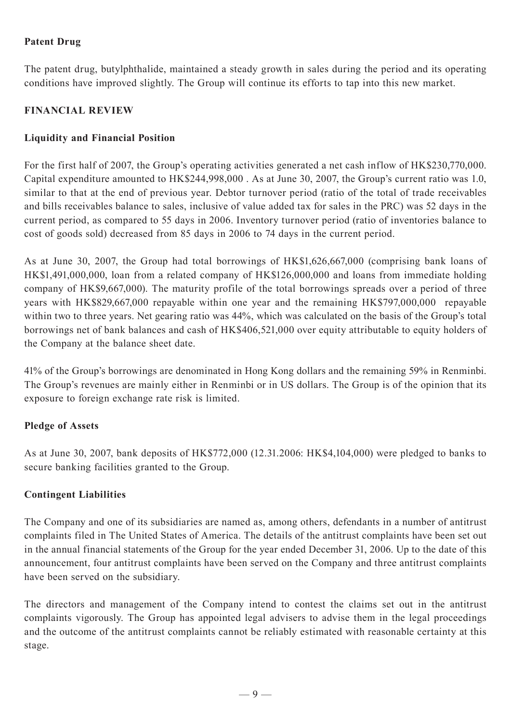## **Patent Drug**

The patent drug, butylphthalide, maintained a steady growth in sales during the period and its operating conditions have improved slightly. The Group will continue its efforts to tap into this new market.

## **FINANCIAL REVIEW**

## **Liquidity and Financial Position**

For the first half of 2007, the Group's operating activities generated a net cash inflow of HK\$230,770,000. Capital expenditure amounted to HK\$244,998,000 . As at June 30, 2007, the Group's current ratio was 1.0, similar to that at the end of previous year. Debtor turnover period (ratio of the total of trade receivables and bills receivables balance to sales, inclusive of value added tax for sales in the PRC) was 52 days in the current period, as compared to 55 days in 2006. Inventory turnover period (ratio of inventories balance to cost of goods sold) decreased from 85 days in 2006 to 74 days in the current period.

As at June 30, 2007, the Group had total borrowings of HK\$1,626,667,000 (comprising bank loans of HK\$1,491,000,000, loan from a related company of HK\$126,000,000 and loans from immediate holding company of HK\$9,667,000). The maturity profile of the total borrowings spreads over a period of three years with HK\$829,667,000 repayable within one year and the remaining HK\$797,000,000 repayable within two to three years. Net gearing ratio was 44%, which was calculated on the basis of the Group's total borrowings net of bank balances and cash of HK\$406,521,000 over equity attributable to equity holders of the Company at the balance sheet date.

41% of the Group's borrowings are denominated in Hong Kong dollars and the remaining 59% in Renminbi. The Group's revenues are mainly either in Renminbi or in US dollars. The Group is of the opinion that its exposure to foreign exchange rate risk is limited.

## **Pledge of Assets**

As at June 30, 2007, bank deposits of HK\$772,000 (12.31.2006: HK\$4,104,000) were pledged to banks to secure banking facilities granted to the Group.

## **Contingent Liabilities**

The Company and one of its subsidiaries are named as, among others, defendants in a number of antitrust complaints filed in The United States of America. The details of the antitrust complaints have been set out in the annual financial statements of the Group for the year ended December 31, 2006. Up to the date of this announcement, four antitrust complaints have been served on the Company and three antitrust complaints have been served on the subsidiary.

The directors and management of the Company intend to contest the claims set out in the antitrust complaints vigorously. The Group has appointed legal advisers to advise them in the legal proceedings and the outcome of the antitrust complaints cannot be reliably estimated with reasonable certainty at this stage.